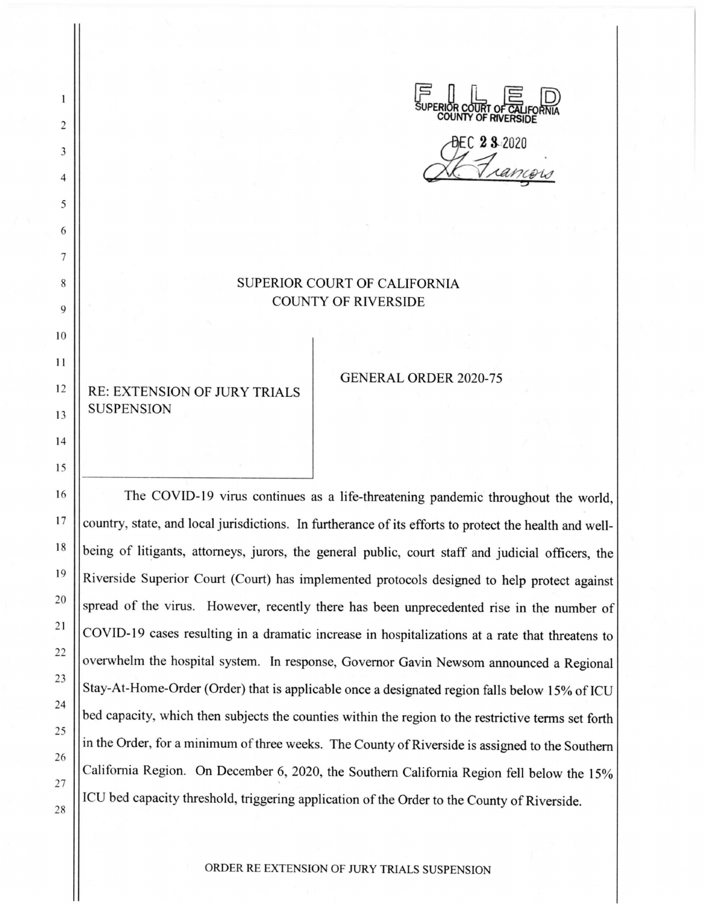

DEC 23-2020

## SUPERIOR COURT OF CALIFORNIA COUNTY OF RIVERSIDE

RE: EXTENSION OF JURY TRIALS SUSPENSION

2

 $\mathbf{1}$ 

3

4

5

6

7

8

9

10

11

12

13

14

15

16

17

18

19

20

21

22

23

24

25

26

27

28

GENERAL ORDER 2020-75

The COVID-19 virus continues as a life-threatening pandemic throughout the world, country, state, and local jurisdictions. In furtherance of its efforts to protect the health and wellbeing of litigants, attorneys, jurors, the general public, court staff and judicial officers, the Riverside Superior Court (Court) has implemented protocols designed to help protect against spread of the virus. However, recently there has been unprecedented rise in the number of COVID-19 cases resulting in a dramatic increase in hospitalizations at a rate that threatens to overwhelm the hospital system. In response, Governor Gavin Newsom announced a Regional Stay-At-Home-Order (Order) that is applicable once a designated region falls below 15% of ICU bed capacity, which then subjects the counties within the region to the restrictive terms set forth in the Order, for a minimum of three weeks. The County of Riverside is assigned to the Southern California Region. On December 6, 2020, the Southern California Region fell below the 15% ICU bed capacity threshold, triggering application of the Order to the County of Riverside.

ORDER RE EXTENSION OF JURY TRIALS SUSPENSION